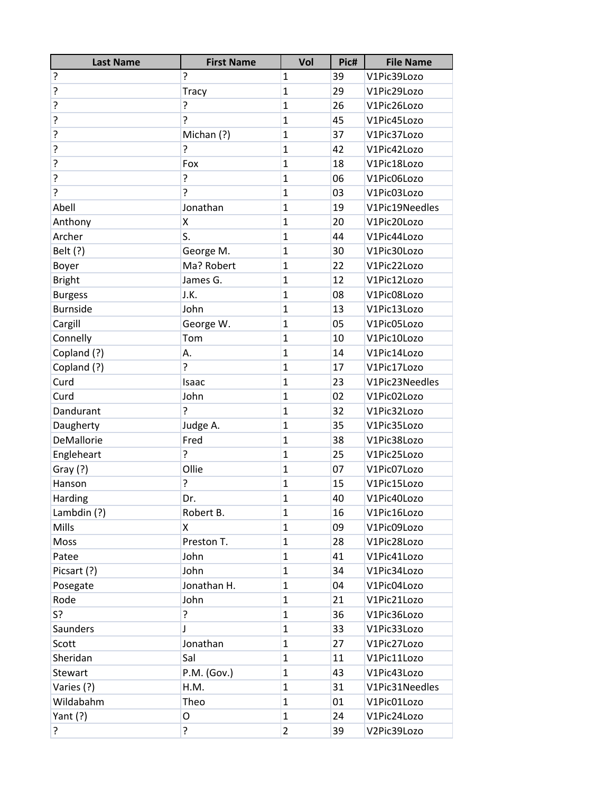| <b>Last Name</b> | <b>First Name</b> | Vol            | Pic# | <b>File Name</b> |
|------------------|-------------------|----------------|------|------------------|
| ?                | ŗ                 | $\mathbf{1}$   | 39   | V1Pic39Lozo      |
| ?                | <b>Tracy</b>      | $\mathbf{1}$   | 29   | V1Pic29Lozo      |
| ?                | ŗ                 | $\mathbf{1}$   | 26   | V1Pic26Lozo      |
| ?                | 5.                | $\mathbf{1}$   | 45   | V1Pic45Lozo      |
| ?                | Michan (?)        | $\mathbf{1}$   | 37   | V1Pic37Lozo      |
| ?                | ŗ                 | $\mathbf{1}$   | 42   | V1Pic42Lozo      |
| ?                | Fox               | $\mathbf{1}$   | 18   | V1Pic18Lozo      |
| ?                | ŗ                 | $\mathbf{1}$   | 06   | V1Pic06Lozo      |
| 5.               | 5                 | $\mathbf{1}$   | 03   | V1Pic03Lozo      |
| Abell            | Jonathan          | $\mathbf{1}$   | 19   | V1Pic19Needles   |
| Anthony          | Χ                 | $\mathbf{1}$   | 20   | V1Pic20Lozo      |
| Archer           | S.                | $\mathbf{1}$   | 44   | V1Pic44Lozo      |
| Belt (?)         | George M.         | $\mathbf{1}$   | 30   | V1Pic30Lozo      |
| Boyer            | Ma? Robert        | $\mathbf{1}$   | 22   | V1Pic22Lozo      |
| <b>Bright</b>    | James G.          | $\mathbf{1}$   | 12   | V1Pic12Lozo      |
| <b>Burgess</b>   | J.K.              | $\mathbf{1}$   | 08   | V1Pic08Lozo      |
| <b>Burnside</b>  | John              | $\mathbf{1}$   | 13   | V1Pic13Lozo      |
| Cargill          | George W.         | $\mathbf{1}$   | 05   | V1Pic05Lozo      |
| Connelly         | Tom               | $\mathbf{1}$   | 10   | V1Pic10Lozo      |
| Copland (?)      | А.                | $\mathbf{1}$   | 14   | V1Pic14Lozo      |
| Copland (?)      | ?                 | $\mathbf{1}$   | 17   | V1Pic17Lozo      |
| Curd             | Isaac             | $\mathbf{1}$   | 23   | V1Pic23Needles   |
| Curd             | John              | $\mathbf{1}$   | 02   | V1Pic02Lozo      |
| Dandurant        | 5.                | $\mathbf{1}$   | 32   | V1Pic32Lozo      |
| Daugherty        | Judge A.          | $\mathbf{1}$   | 35   | V1Pic35Lozo      |
| DeMallorie       | Fred              | $\mathbf{1}$   | 38   | V1Pic38Lozo      |
| Engleheart       | ?                 | $\mathbf{1}$   | 25   | V1Pic25Lozo      |
| Gray $(?)$       | Ollie             | $\mathbf{1}$   | 07   | V1Pic07Lozo      |
| Hanson           | ŗ                 | $\mathbf{1}$   | 15   | V1Pic15Lozo      |
| Harding          | Dr.               | 1              | 40   | V1Pic40Lozo      |
| Lambdin $(?)$    | Robert B.         | 1              | 16   | V1Pic16Lozo      |
| Mills            | X                 | $\mathbf{1}$   | 09   | V1Pic09Lozo      |
| Moss             | Preston T.        | $\mathbf{1}$   | 28   | V1Pic28Lozo      |
| Patee            | John              | $\mathbf{1}$   | 41   | V1Pic41Lozo      |
| Picsart (?)      | John              | $\mathbf{1}$   | 34   | V1Pic34Lozo      |
| Posegate         | Jonathan H.       | $\mathbf{1}$   | 04   | V1Pic04Lozo      |
| Rode             | John              | 1              | 21   | V1Pic21Lozo      |
| S?               | ?                 | $\mathbf{1}$   | 36   | V1Pic36Lozo      |
| <b>Saunders</b>  | J                 | $\mathbf{1}$   | 33   | V1Pic33Lozo      |
| Scott            | Jonathan          | 1              | 27   | V1Pic27Lozo      |
| Sheridan         | Sal               | $\mathbf{1}$   | 11   | V1Pic11Lozo      |
| Stewart          | P.M. (Gov.)       | $\mathbf{1}$   | 43   | V1Pic43Lozo      |
| Varies (?)       | H.M.              | $\mathbf{1}$   | 31   | V1Pic31Needles   |
| Wildabahm        | Theo              | $\mathbf{1}$   | 01   | V1Pic01Lozo      |
| Yant $(?)$       | O                 | $\mathbf{1}$   | 24   | V1Pic24Lozo      |
| ?                | ŗ                 | $\overline{2}$ | 39   | V2Pic39Lozo      |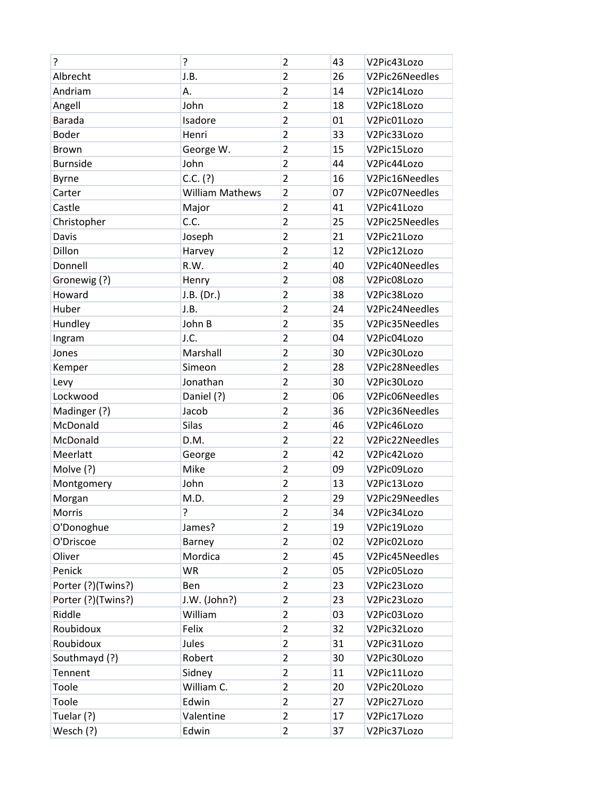| 5.                 | ŗ                      | $\overline{2}$ | 43 | V2Pic43Lozo    |
|--------------------|------------------------|----------------|----|----------------|
| Albrecht           | J.B.                   | $\overline{2}$ | 26 | V2Pic26Needles |
| Andriam            | Α.                     | $\overline{2}$ | 14 | V2Pic14Lozo    |
| Angell             | John                   | $\overline{2}$ | 18 | V2Pic18Lozo    |
| <b>Barada</b>      | Isadore                | $\overline{2}$ | 01 | V2Pic01Lozo    |
| <b>Boder</b>       | Henri                  | $\overline{2}$ | 33 | V2Pic33Lozo    |
| <b>Brown</b>       | George W.              | $\overline{2}$ | 15 | V2Pic15Lozo    |
| <b>Burnside</b>    | John                   | $\overline{2}$ | 44 | V2Pic44Lozo    |
| <b>Byrne</b>       | $C.C.$ (?)             | $\overline{2}$ | 16 | V2Pic16Needles |
| Carter             | <b>William Mathews</b> | $\overline{2}$ | 07 | V2Pic07Needles |
| Castle             | Major                  | $\overline{2}$ | 41 | V2Pic41Lozo    |
| Christopher        | C.C.                   | $\overline{2}$ | 25 | V2Pic25Needles |
| Davis              | Joseph                 | $\overline{2}$ | 21 | V2Pic21Lozo    |
| Dillon             | Harvey                 | $\overline{2}$ | 12 | V2Pic12Lozo    |
| Donnell            | R.W.                   | $\overline{2}$ | 40 | V2Pic40Needles |
| Gronewig (?)       | Henry                  | $\overline{2}$ | 08 | V2Pic08Lozo    |
| Howard             | J.B. (Dr.)             | $\overline{2}$ | 38 | V2Pic38Lozo    |
| Huber              | J.B.                   | $\overline{2}$ | 24 | V2Pic24Needles |
| Hundley            | John B                 | $\overline{2}$ | 35 | V2Pic35Needles |
| Ingram             | J.C.                   | $\overline{2}$ | 04 | V2Pic04Lozo    |
| Jones              | Marshall               | $\overline{2}$ | 30 | V2Pic30Lozo    |
| Kemper             | Simeon                 | $\overline{2}$ | 28 | V2Pic28Needles |
| Levy               | Jonathan               | $\overline{2}$ | 30 | V2Pic30Lozo    |
| Lockwood           | Daniel (?)             | $\overline{2}$ | 06 | V2Pic06Needles |
| Madinger (?)       | Jacob                  | $\overline{2}$ | 36 | V2Pic36Needles |
| McDonald           | Silas                  | $\overline{2}$ | 46 | V2Pic46Lozo    |
| McDonald           | D.M.                   | $\overline{2}$ | 22 | V2Pic22Needles |
| Meerlatt           | George                 | $\overline{2}$ | 42 | V2Pic42Lozo    |
| Molve (?)          | Mike                   | $\overline{2}$ | 09 | V2Pic09Lozo    |
| Montgomery         | John                   | $\overline{2}$ | 13 | V2Pic13Lozo    |
| Morgan             | M.D.                   | $\overline{c}$ | 29 | V2Pic29Needles |
| Morris             | 5                      | $\overline{2}$ | 34 | V2Pic34Lozo    |
| O'Donoghue         | James?                 | $\overline{2}$ | 19 | V2Pic19Lozo    |
| O'Driscoe          | Barney                 | $\overline{2}$ | 02 | V2Pic02Lozo    |
| Oliver             | Mordica                | $\overline{2}$ | 45 | V2Pic45Needles |
| Penick             | <b>WR</b>              | $\overline{2}$ | 05 | V2Pic05Lozo    |
| Porter (?)(Twins?) | Ben                    | $\overline{2}$ | 23 | V2Pic23Lozo    |
| Porter (?)(Twins?) | J.W. (John?)           | $\overline{2}$ | 23 | V2Pic23Lozo    |
| Riddle             | William                | $\overline{2}$ | 03 | V2Pic03Lozo    |
| Roubidoux          | Felix                  | $\overline{2}$ | 32 | V2Pic32Lozo    |
| Roubidoux          | Jules                  | $\overline{2}$ | 31 | V2Pic31Lozo    |
| Southmayd (?)      | Robert                 | $\overline{2}$ | 30 | V2Pic30Lozo    |
| Tennent            | Sidney                 | 2              | 11 | V2Pic11Lozo    |
| Toole              | William C.             | $\overline{2}$ | 20 | V2Pic20Lozo    |
| Toole              | Edwin                  | $\overline{2}$ | 27 | V2Pic27Lozo    |
| Tuelar (?)         | Valentine              | $\overline{2}$ | 17 | V2Pic17Lozo    |
| Wesch (?)          | Edwin                  | $\overline{2}$ | 37 | V2Pic37Lozo    |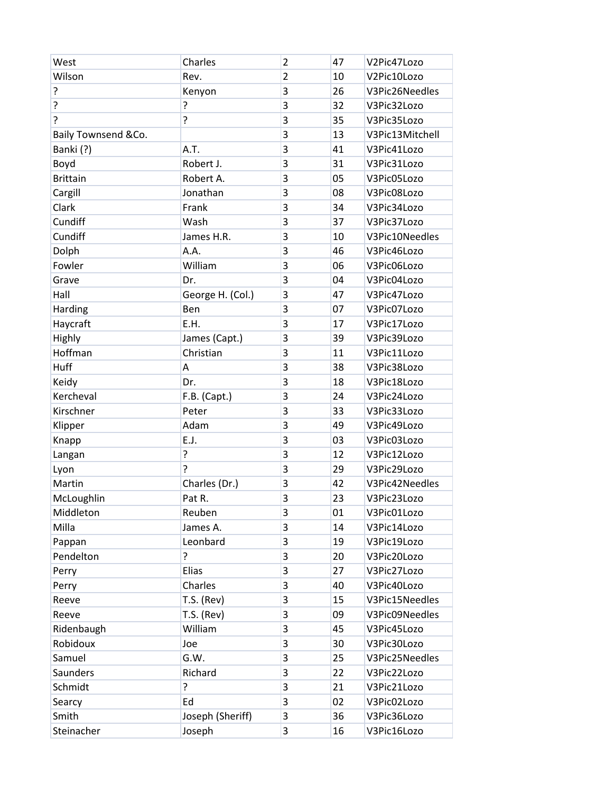| Wilson<br>Rev.<br>$\overline{2}$<br>V2Pic10Lozo<br>10<br>?<br>3<br>V3Pic26Needles<br>Kenyon<br>26<br>ŗ<br>ŗ<br>3<br>32<br>V3Pic32Lozo<br>ŗ<br>5.<br>3<br>35<br>V3Pic35Lozo<br>3<br>13<br>V3Pic13Mitchell<br>Baily Townsend &Co.<br>3<br>Banki (?)<br>A.T.<br>41<br>V3Pic41Lozo<br>Boyd<br>Robert J.<br>3<br>31<br>V3Pic31Lozo<br>05<br><b>Brittain</b><br>3<br>Robert A.<br>V3Pic05Lozo<br>3<br>Jonathan<br>08<br>Cargill<br>V3Pic08Lozo<br>Clark<br>Frank<br>3<br>34<br>V3Pic34Lozo<br>3<br>Cundiff<br>37<br>Wash<br>V3Pic37Lozo<br>3<br>Cundiff<br>10<br>V3Pic10Needles<br>James H.R.<br>3<br>Dolph<br>A.A.<br>46<br>V3Pic46Lozo<br>Fowler<br>William<br>3<br>06<br>V3Pic06Lozo<br>Grave<br>Dr.<br>3<br>04<br>V3Pic04Lozo<br>3<br>Hall<br>George H. (Col.)<br>47<br>V3Pic47Lozo<br>3<br>Harding<br>Ben<br>07<br>V3Pic07Lozo<br>Haycraft<br>3<br>E.H.<br>17<br>V3Pic17Lozo<br>Highly<br>James (Capt.)<br>3<br>39<br>V3Pic39Lozo<br>Hoffman<br>Christian<br>3<br>11<br>V3Pic11Lozo<br>Huff<br>3<br>А<br>38<br>V3Pic38Lozo<br>3<br>18<br>Keidy<br>V3Pic18Lozo<br>Dr.<br>Kercheval<br>3<br>F.B. (Capt.)<br>24<br>V3Pic24Lozo<br>3<br>Kirschner<br>Peter<br>33<br>V3Pic33Lozo<br>3<br>Adam<br>49<br>Klipper<br>V3Pic49Lozo<br>3<br>E.J.<br>03<br>V3Pic03Lozo<br>Knapp<br>ŗ<br>3<br>12<br>V3Pic12Lozo<br>Langan<br>ŗ<br>3<br>Lyon<br>29<br>V3Pic29Lozo<br>Charles (Dr.)<br>3<br>Martin<br>42<br>V3Pic42Needles<br>3<br>23<br>McLoughlin<br>V3Pic23Lozo<br>Pat R.<br>3<br>Middleton<br>Reuben<br>01<br>V3Pic01Lozo<br>Milla<br>James A.<br>3<br>14<br>V3Pic14Lozo<br>Leonbard<br>Pappan<br>3<br>19<br>V3Pic19Lozo<br>5<br>Pendelton<br>3<br>20<br>V3Pic20Lozo<br>Elias<br>3<br>27<br>V3Pic27Lozo<br>Perry<br>Charles<br>3<br>40<br>Perry<br>V3Pic40Lozo<br>3<br><b>T.S. (Rev)</b><br>15<br>V3Pic15Needles<br>Reeve<br>$T.S.$ (Rev)<br>3<br>V3Pic09Needles<br>Reeve<br>09<br>William<br>3<br>45<br>Ridenbaugh<br>V3Pic45Lozo<br>Robidoux<br>3<br>30<br>V3Pic30Lozo<br>Joe<br>G.W.<br>3<br>25<br>Samuel<br>V3Pic25Needles<br>3<br>Saunders<br>Richard<br>22<br>V3Pic22Lozo<br>?<br>3<br>Schmidt<br>21<br>V3Pic21Lozo | West | Charles | $\overline{2}$ | 47 | V2Pic47Lozo |
|---------------------------------------------------------------------------------------------------------------------------------------------------------------------------------------------------------------------------------------------------------------------------------------------------------------------------------------------------------------------------------------------------------------------------------------------------------------------------------------------------------------------------------------------------------------------------------------------------------------------------------------------------------------------------------------------------------------------------------------------------------------------------------------------------------------------------------------------------------------------------------------------------------------------------------------------------------------------------------------------------------------------------------------------------------------------------------------------------------------------------------------------------------------------------------------------------------------------------------------------------------------------------------------------------------------------------------------------------------------------------------------------------------------------------------------------------------------------------------------------------------------------------------------------------------------------------------------------------------------------------------------------------------------------------------------------------------------------------------------------------------------------------------------------------------------------------------------------------------------------------------------------------------------------------------------------------------------------------------------------------------------------------------------------------------------------------------------------------------------|------|---------|----------------|----|-------------|
|                                                                                                                                                                                                                                                                                                                                                                                                                                                                                                                                                                                                                                                                                                                                                                                                                                                                                                                                                                                                                                                                                                                                                                                                                                                                                                                                                                                                                                                                                                                                                                                                                                                                                                                                                                                                                                                                                                                                                                                                                                                                                                               |      |         |                |    |             |
|                                                                                                                                                                                                                                                                                                                                                                                                                                                                                                                                                                                                                                                                                                                                                                                                                                                                                                                                                                                                                                                                                                                                                                                                                                                                                                                                                                                                                                                                                                                                                                                                                                                                                                                                                                                                                                                                                                                                                                                                                                                                                                               |      |         |                |    |             |
|                                                                                                                                                                                                                                                                                                                                                                                                                                                                                                                                                                                                                                                                                                                                                                                                                                                                                                                                                                                                                                                                                                                                                                                                                                                                                                                                                                                                                                                                                                                                                                                                                                                                                                                                                                                                                                                                                                                                                                                                                                                                                                               |      |         |                |    |             |
|                                                                                                                                                                                                                                                                                                                                                                                                                                                                                                                                                                                                                                                                                                                                                                                                                                                                                                                                                                                                                                                                                                                                                                                                                                                                                                                                                                                                                                                                                                                                                                                                                                                                                                                                                                                                                                                                                                                                                                                                                                                                                                               |      |         |                |    |             |
|                                                                                                                                                                                                                                                                                                                                                                                                                                                                                                                                                                                                                                                                                                                                                                                                                                                                                                                                                                                                                                                                                                                                                                                                                                                                                                                                                                                                                                                                                                                                                                                                                                                                                                                                                                                                                                                                                                                                                                                                                                                                                                               |      |         |                |    |             |
|                                                                                                                                                                                                                                                                                                                                                                                                                                                                                                                                                                                                                                                                                                                                                                                                                                                                                                                                                                                                                                                                                                                                                                                                                                                                                                                                                                                                                                                                                                                                                                                                                                                                                                                                                                                                                                                                                                                                                                                                                                                                                                               |      |         |                |    |             |
|                                                                                                                                                                                                                                                                                                                                                                                                                                                                                                                                                                                                                                                                                                                                                                                                                                                                                                                                                                                                                                                                                                                                                                                                                                                                                                                                                                                                                                                                                                                                                                                                                                                                                                                                                                                                                                                                                                                                                                                                                                                                                                               |      |         |                |    |             |
|                                                                                                                                                                                                                                                                                                                                                                                                                                                                                                                                                                                                                                                                                                                                                                                                                                                                                                                                                                                                                                                                                                                                                                                                                                                                                                                                                                                                                                                                                                                                                                                                                                                                                                                                                                                                                                                                                                                                                                                                                                                                                                               |      |         |                |    |             |
|                                                                                                                                                                                                                                                                                                                                                                                                                                                                                                                                                                                                                                                                                                                                                                                                                                                                                                                                                                                                                                                                                                                                                                                                                                                                                                                                                                                                                                                                                                                                                                                                                                                                                                                                                                                                                                                                                                                                                                                                                                                                                                               |      |         |                |    |             |
|                                                                                                                                                                                                                                                                                                                                                                                                                                                                                                                                                                                                                                                                                                                                                                                                                                                                                                                                                                                                                                                                                                                                                                                                                                                                                                                                                                                                                                                                                                                                                                                                                                                                                                                                                                                                                                                                                                                                                                                                                                                                                                               |      |         |                |    |             |
|                                                                                                                                                                                                                                                                                                                                                                                                                                                                                                                                                                                                                                                                                                                                                                                                                                                                                                                                                                                                                                                                                                                                                                                                                                                                                                                                                                                                                                                                                                                                                                                                                                                                                                                                                                                                                                                                                                                                                                                                                                                                                                               |      |         |                |    |             |
|                                                                                                                                                                                                                                                                                                                                                                                                                                                                                                                                                                                                                                                                                                                                                                                                                                                                                                                                                                                                                                                                                                                                                                                                                                                                                                                                                                                                                                                                                                                                                                                                                                                                                                                                                                                                                                                                                                                                                                                                                                                                                                               |      |         |                |    |             |
|                                                                                                                                                                                                                                                                                                                                                                                                                                                                                                                                                                                                                                                                                                                                                                                                                                                                                                                                                                                                                                                                                                                                                                                                                                                                                                                                                                                                                                                                                                                                                                                                                                                                                                                                                                                                                                                                                                                                                                                                                                                                                                               |      |         |                |    |             |
|                                                                                                                                                                                                                                                                                                                                                                                                                                                                                                                                                                                                                                                                                                                                                                                                                                                                                                                                                                                                                                                                                                                                                                                                                                                                                                                                                                                                                                                                                                                                                                                                                                                                                                                                                                                                                                                                                                                                                                                                                                                                                                               |      |         |                |    |             |
|                                                                                                                                                                                                                                                                                                                                                                                                                                                                                                                                                                                                                                                                                                                                                                                                                                                                                                                                                                                                                                                                                                                                                                                                                                                                                                                                                                                                                                                                                                                                                                                                                                                                                                                                                                                                                                                                                                                                                                                                                                                                                                               |      |         |                |    |             |
|                                                                                                                                                                                                                                                                                                                                                                                                                                                                                                                                                                                                                                                                                                                                                                                                                                                                                                                                                                                                                                                                                                                                                                                                                                                                                                                                                                                                                                                                                                                                                                                                                                                                                                                                                                                                                                                                                                                                                                                                                                                                                                               |      |         |                |    |             |
|                                                                                                                                                                                                                                                                                                                                                                                                                                                                                                                                                                                                                                                                                                                                                                                                                                                                                                                                                                                                                                                                                                                                                                                                                                                                                                                                                                                                                                                                                                                                                                                                                                                                                                                                                                                                                                                                                                                                                                                                                                                                                                               |      |         |                |    |             |
|                                                                                                                                                                                                                                                                                                                                                                                                                                                                                                                                                                                                                                                                                                                                                                                                                                                                                                                                                                                                                                                                                                                                                                                                                                                                                                                                                                                                                                                                                                                                                                                                                                                                                                                                                                                                                                                                                                                                                                                                                                                                                                               |      |         |                |    |             |
|                                                                                                                                                                                                                                                                                                                                                                                                                                                                                                                                                                                                                                                                                                                                                                                                                                                                                                                                                                                                                                                                                                                                                                                                                                                                                                                                                                                                                                                                                                                                                                                                                                                                                                                                                                                                                                                                                                                                                                                                                                                                                                               |      |         |                |    |             |
|                                                                                                                                                                                                                                                                                                                                                                                                                                                                                                                                                                                                                                                                                                                                                                                                                                                                                                                                                                                                                                                                                                                                                                                                                                                                                                                                                                                                                                                                                                                                                                                                                                                                                                                                                                                                                                                                                                                                                                                                                                                                                                               |      |         |                |    |             |
|                                                                                                                                                                                                                                                                                                                                                                                                                                                                                                                                                                                                                                                                                                                                                                                                                                                                                                                                                                                                                                                                                                                                                                                                                                                                                                                                                                                                                                                                                                                                                                                                                                                                                                                                                                                                                                                                                                                                                                                                                                                                                                               |      |         |                |    |             |
|                                                                                                                                                                                                                                                                                                                                                                                                                                                                                                                                                                                                                                                                                                                                                                                                                                                                                                                                                                                                                                                                                                                                                                                                                                                                                                                                                                                                                                                                                                                                                                                                                                                                                                                                                                                                                                                                                                                                                                                                                                                                                                               |      |         |                |    |             |
|                                                                                                                                                                                                                                                                                                                                                                                                                                                                                                                                                                                                                                                                                                                                                                                                                                                                                                                                                                                                                                                                                                                                                                                                                                                                                                                                                                                                                                                                                                                                                                                                                                                                                                                                                                                                                                                                                                                                                                                                                                                                                                               |      |         |                |    |             |
|                                                                                                                                                                                                                                                                                                                                                                                                                                                                                                                                                                                                                                                                                                                                                                                                                                                                                                                                                                                                                                                                                                                                                                                                                                                                                                                                                                                                                                                                                                                                                                                                                                                                                                                                                                                                                                                                                                                                                                                                                                                                                                               |      |         |                |    |             |
|                                                                                                                                                                                                                                                                                                                                                                                                                                                                                                                                                                                                                                                                                                                                                                                                                                                                                                                                                                                                                                                                                                                                                                                                                                                                                                                                                                                                                                                                                                                                                                                                                                                                                                                                                                                                                                                                                                                                                                                                                                                                                                               |      |         |                |    |             |
|                                                                                                                                                                                                                                                                                                                                                                                                                                                                                                                                                                                                                                                                                                                                                                                                                                                                                                                                                                                                                                                                                                                                                                                                                                                                                                                                                                                                                                                                                                                                                                                                                                                                                                                                                                                                                                                                                                                                                                                                                                                                                                               |      |         |                |    |             |
|                                                                                                                                                                                                                                                                                                                                                                                                                                                                                                                                                                                                                                                                                                                                                                                                                                                                                                                                                                                                                                                                                                                                                                                                                                                                                                                                                                                                                                                                                                                                                                                                                                                                                                                                                                                                                                                                                                                                                                                                                                                                                                               |      |         |                |    |             |
|                                                                                                                                                                                                                                                                                                                                                                                                                                                                                                                                                                                                                                                                                                                                                                                                                                                                                                                                                                                                                                                                                                                                                                                                                                                                                                                                                                                                                                                                                                                                                                                                                                                                                                                                                                                                                                                                                                                                                                                                                                                                                                               |      |         |                |    |             |
|                                                                                                                                                                                                                                                                                                                                                                                                                                                                                                                                                                                                                                                                                                                                                                                                                                                                                                                                                                                                                                                                                                                                                                                                                                                                                                                                                                                                                                                                                                                                                                                                                                                                                                                                                                                                                                                                                                                                                                                                                                                                                                               |      |         |                |    |             |
|                                                                                                                                                                                                                                                                                                                                                                                                                                                                                                                                                                                                                                                                                                                                                                                                                                                                                                                                                                                                                                                                                                                                                                                                                                                                                                                                                                                                                                                                                                                                                                                                                                                                                                                                                                                                                                                                                                                                                                                                                                                                                                               |      |         |                |    |             |
|                                                                                                                                                                                                                                                                                                                                                                                                                                                                                                                                                                                                                                                                                                                                                                                                                                                                                                                                                                                                                                                                                                                                                                                                                                                                                                                                                                                                                                                                                                                                                                                                                                                                                                                                                                                                                                                                                                                                                                                                                                                                                                               |      |         |                |    |             |
|                                                                                                                                                                                                                                                                                                                                                                                                                                                                                                                                                                                                                                                                                                                                                                                                                                                                                                                                                                                                                                                                                                                                                                                                                                                                                                                                                                                                                                                                                                                                                                                                                                                                                                                                                                                                                                                                                                                                                                                                                                                                                                               |      |         |                |    |             |
|                                                                                                                                                                                                                                                                                                                                                                                                                                                                                                                                                                                                                                                                                                                                                                                                                                                                                                                                                                                                                                                                                                                                                                                                                                                                                                                                                                                                                                                                                                                                                                                                                                                                                                                                                                                                                                                                                                                                                                                                                                                                                                               |      |         |                |    |             |
|                                                                                                                                                                                                                                                                                                                                                                                                                                                                                                                                                                                                                                                                                                                                                                                                                                                                                                                                                                                                                                                                                                                                                                                                                                                                                                                                                                                                                                                                                                                                                                                                                                                                                                                                                                                                                                                                                                                                                                                                                                                                                                               |      |         |                |    |             |
|                                                                                                                                                                                                                                                                                                                                                                                                                                                                                                                                                                                                                                                                                                                                                                                                                                                                                                                                                                                                                                                                                                                                                                                                                                                                                                                                                                                                                                                                                                                                                                                                                                                                                                                                                                                                                                                                                                                                                                                                                                                                                                               |      |         |                |    |             |
|                                                                                                                                                                                                                                                                                                                                                                                                                                                                                                                                                                                                                                                                                                                                                                                                                                                                                                                                                                                                                                                                                                                                                                                                                                                                                                                                                                                                                                                                                                                                                                                                                                                                                                                                                                                                                                                                                                                                                                                                                                                                                                               |      |         |                |    |             |
|                                                                                                                                                                                                                                                                                                                                                                                                                                                                                                                                                                                                                                                                                                                                                                                                                                                                                                                                                                                                                                                                                                                                                                                                                                                                                                                                                                                                                                                                                                                                                                                                                                                                                                                                                                                                                                                                                                                                                                                                                                                                                                               |      |         |                |    |             |
|                                                                                                                                                                                                                                                                                                                                                                                                                                                                                                                                                                                                                                                                                                                                                                                                                                                                                                                                                                                                                                                                                                                                                                                                                                                                                                                                                                                                                                                                                                                                                                                                                                                                                                                                                                                                                                                                                                                                                                                                                                                                                                               |      |         |                |    |             |
|                                                                                                                                                                                                                                                                                                                                                                                                                                                                                                                                                                                                                                                                                                                                                                                                                                                                                                                                                                                                                                                                                                                                                                                                                                                                                                                                                                                                                                                                                                                                                                                                                                                                                                                                                                                                                                                                                                                                                                                                                                                                                                               |      |         |                |    |             |
|                                                                                                                                                                                                                                                                                                                                                                                                                                                                                                                                                                                                                                                                                                                                                                                                                                                                                                                                                                                                                                                                                                                                                                                                                                                                                                                                                                                                                                                                                                                                                                                                                                                                                                                                                                                                                                                                                                                                                                                                                                                                                                               |      |         |                |    |             |
|                                                                                                                                                                                                                                                                                                                                                                                                                                                                                                                                                                                                                                                                                                                                                                                                                                                                                                                                                                                                                                                                                                                                                                                                                                                                                                                                                                                                                                                                                                                                                                                                                                                                                                                                                                                                                                                                                                                                                                                                                                                                                                               |      |         |                |    |             |
|                                                                                                                                                                                                                                                                                                                                                                                                                                                                                                                                                                                                                                                                                                                                                                                                                                                                                                                                                                                                                                                                                                                                                                                                                                                                                                                                                                                                                                                                                                                                                                                                                                                                                                                                                                                                                                                                                                                                                                                                                                                                                                               |      |         |                |    |             |
|                                                                                                                                                                                                                                                                                                                                                                                                                                                                                                                                                                                                                                                                                                                                                                                                                                                                                                                                                                                                                                                                                                                                                                                                                                                                                                                                                                                                                                                                                                                                                                                                                                                                                                                                                                                                                                                                                                                                                                                                                                                                                                               |      |         |                |    |             |
| 3<br>Ed<br>02<br>V3Pic02Lozo<br>Searcy                                                                                                                                                                                                                                                                                                                                                                                                                                                                                                                                                                                                                                                                                                                                                                                                                                                                                                                                                                                                                                                                                                                                                                                                                                                                                                                                                                                                                                                                                                                                                                                                                                                                                                                                                                                                                                                                                                                                                                                                                                                                        |      |         |                |    |             |
| Smith<br>Joseph (Sheriff)<br>36<br>3<br>V3Pic36Lozo                                                                                                                                                                                                                                                                                                                                                                                                                                                                                                                                                                                                                                                                                                                                                                                                                                                                                                                                                                                                                                                                                                                                                                                                                                                                                                                                                                                                                                                                                                                                                                                                                                                                                                                                                                                                                                                                                                                                                                                                                                                           |      |         |                |    |             |
| Steinacher<br>Joseph<br>3<br>16<br>V3Pic16Lozo                                                                                                                                                                                                                                                                                                                                                                                                                                                                                                                                                                                                                                                                                                                                                                                                                                                                                                                                                                                                                                                                                                                                                                                                                                                                                                                                                                                                                                                                                                                                                                                                                                                                                                                                                                                                                                                                                                                                                                                                                                                                |      |         |                |    |             |